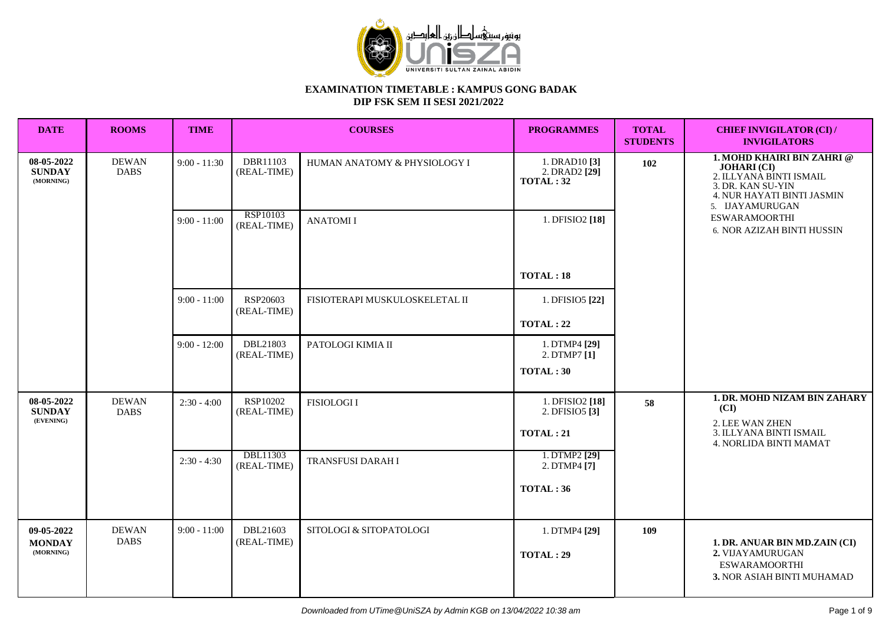

| <b>DATE</b>                              | <b>ROOMS</b>                | <b>TIME</b>    |                         | <b>COURSES</b>                 | <b>PROGRAMMES</b>                         | <b>TOTAL</b><br><b>STUDENTS</b> | <b>CHIEF INVIGILATOR (CI) /</b><br><b>INVIGILATORS</b>                                                                                                   |  |
|------------------------------------------|-----------------------------|----------------|-------------------------|--------------------------------|-------------------------------------------|---------------------------------|----------------------------------------------------------------------------------------------------------------------------------------------------------|--|
| 08-05-2022<br><b>SUNDAY</b><br>(MORNING) | <b>DEWAN</b><br><b>DABS</b> | $9:00 - 11:30$ | DBR11103<br>(REAL-TIME) | HUMAN ANATOMY & PHYSIOLOGY I   | 1. DRAD10[3]<br>2. DRAD2 [29]<br>TOTAL:32 | 102                             | <b>1. MOHD KHAIRI BIN ZAHRI @</b><br><b>JOHARI</b> (CI)<br>2. ILLYANA BINTI ISMAIL<br>3. DR. KAN SU-YIN<br>4. NUR HAYATI BINTI JASMIN<br>5. IJAYAMURUGAN |  |
|                                          |                             | $9:00 - 11:00$ | RSP10103<br>(REAL-TIME) | <b>ANATOMII</b>                | 1. DFISIO2 [18]                           |                                 | <b>ESWARAMOORTHI</b><br>6. NOR AZIZAH BINTI HUSSIN                                                                                                       |  |
|                                          |                             |                |                         |                                | TOTAL:18                                  |                                 |                                                                                                                                                          |  |
|                                          |                             | $9:00 - 11:00$ | RSP20603<br>(REAL-TIME) | FISIOTERAPI MUSKULOSKELETAL II | 1. DFISIO5 [22]                           |                                 |                                                                                                                                                          |  |
|                                          |                             |                |                         |                                | TOTAL: 22                                 |                                 |                                                                                                                                                          |  |
|                                          |                             | $9:00 - 12:00$ | DBL21803<br>(REAL-TIME) | PATOLOGI KIMIA II              | 1. DTMP4 [29]<br>2. DTMP7 [1]             |                                 |                                                                                                                                                          |  |
|                                          |                             |                |                         |                                | TOTAL: 30                                 |                                 |                                                                                                                                                          |  |
| 08-05-2022<br><b>SUNDAY</b><br>(EVENING) | <b>DEWAN</b><br><b>DABS</b> | $2:30 - 4:00$  | RSP10202<br>(REAL-TIME) | <b>FISIOLOGII</b>              | 1. DFISIO2 [18]<br>2. DFISIO5 [3]         | 58                              | <b>1. DR. MOHD NIZAM BIN ZAHARY</b><br>(CI)                                                                                                              |  |
|                                          |                             |                |                         |                                | <b>TOTAL: 21</b>                          |                                 | 2. LEE WAN ZHEN<br>3. ILLYANA BINTI ISMAIL<br>4. NORLIDA BINTI MAMAT                                                                                     |  |
|                                          |                             | $2:30 - 4:30$  | DBL11303<br>(REAL-TIME) | TRANSFUSI DARAH I              | 1. DTMP2 [29]<br>2. DTMP4 [7]             |                                 |                                                                                                                                                          |  |
|                                          |                             |                |                         |                                | TOTAL: 36                                 |                                 |                                                                                                                                                          |  |
|                                          |                             |                |                         |                                |                                           |                                 |                                                                                                                                                          |  |
| 09-05-2022<br><b>MONDAY</b><br>(MORNING) | <b>DEWAN</b><br><b>DABS</b> | $9:00 - 11:00$ | DBL21603<br>(REAL-TIME) | SITOLOGI & SITOPATOLOGI        | 1. DTMP4 [29]<br>TOTAL: 29                | 109                             | 1. DR. ANUAR BIN MD.ZAIN (CI)<br>2. VIJAYAMURUGAN<br><b>ESWARAMOORTHI</b><br>3. NOR ASIAH BINTI MUHAMAD                                                  |  |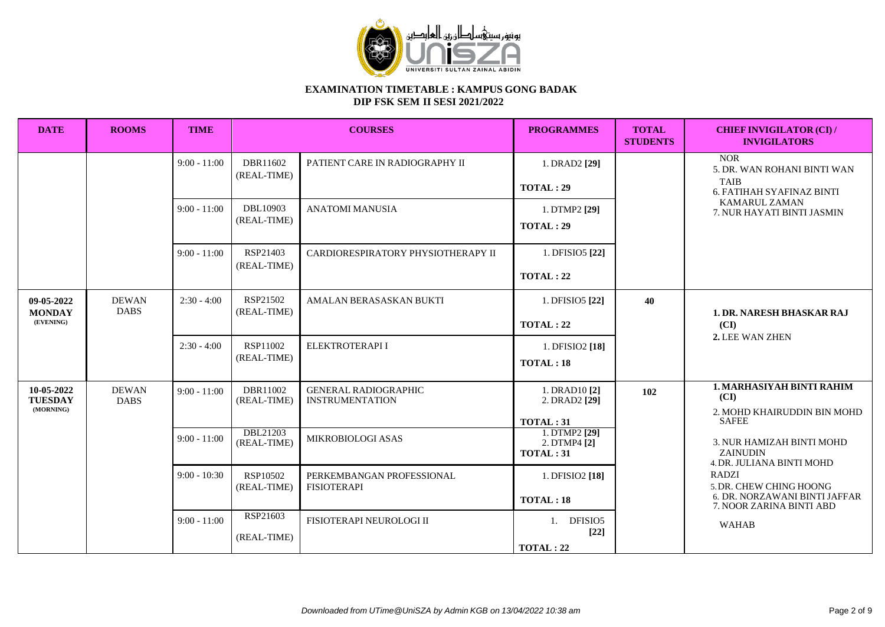

| <b>DATE</b>                               | <b>ROOMS</b>                | <b>TIME</b>                      |                                                    | <b>COURSES</b>                                                             |                                                                                                    | <b>TOTAL</b><br><b>STUDENTS</b> | <b>CHIEF INVIGILATOR (CI) /</b><br><b>INVIGILATORS</b>                                                                                                                                                                                                                       |
|-------------------------------------------|-----------------------------|----------------------------------|----------------------------------------------------|----------------------------------------------------------------------------|----------------------------------------------------------------------------------------------------|---------------------------------|------------------------------------------------------------------------------------------------------------------------------------------------------------------------------------------------------------------------------------------------------------------------------|
|                                           |                             | $9:00 - 11:00$                   | DBR11602<br>(REAL-TIME)                            | PATIENT CARE IN RADIOGRAPHY II                                             | 1. DRAD2 [29]<br>TOTAL:29                                                                          |                                 | <b>NOR</b><br>5. DR. WAN ROHANI BINTI WAN<br><b>TAIB</b><br>6. FATIHAH SYAFINAZ BINTI                                                                                                                                                                                        |
|                                           |                             | $9:00 - 11:00$                   | DBL10903<br>(REAL-TIME)                            | <b>ANATOMI MANUSIA</b>                                                     | 1. DTMP2 [29]<br>TOTAL:29                                                                          |                                 | <b>KAMARUL ZAMAN</b><br>7. NUR HAYATI BINTI JASMIN                                                                                                                                                                                                                           |
|                                           |                             | $9:00 - 11:00$                   | RSP21403<br>(REAL-TIME)                            | CARDIORESPIRATORY PHYSIOTHERAPY II                                         | 1. DFISIO5 [22]<br>TOTAL:22                                                                        |                                 |                                                                                                                                                                                                                                                                              |
| 09-05-2022<br><b>MONDAY</b><br>(EVENING)  | <b>DEWAN</b><br><b>DABS</b> | $2:30 - 4:00$                    | RSP21502<br>(REAL-TIME)                            | AMALAN BERASASKAN BUKTI                                                    | 1. DFISIO5 [22]<br>TOTAL:22                                                                        | 40                              | <b>1. DR. NARESH BHASKAR RAJ</b><br>(CI)<br>2. LEE WAN ZHEN                                                                                                                                                                                                                  |
|                                           |                             | $2:30 - 4:00$                    | RSP11002<br>(REAL-TIME)                            | ELEKTROTERAPI I                                                            | 1. DFISIO2 [18]<br>TOTAL:18                                                                        |                                 |                                                                                                                                                                                                                                                                              |
| 10-05-2022<br><b>TUESDAY</b><br>(MORNING) | <b>DEWAN</b><br><b>DABS</b> | $9:00 - 11:00$<br>$9:00 - 11:00$ | DBR11002<br>(REAL-TIME)<br>DBL21203<br>(REAL-TIME) | <b>GENERAL RADIOGRAPHIC</b><br><b>INSTRUMENTATION</b><br>MIKROBIOLOGI ASAS | 1. DRAD10 [2]<br>2. DRAD2 $[29]$<br>TOTAL: 31<br>1. DTMP2 [29]<br>2. DTMP4 [2]<br><b>TOTAL: 31</b> | 102                             | <b>1. MARHASIYAH BINTI RAHIM</b><br>(CI)<br>2. MOHD KHAIRUDDIN BIN MOHD<br><b>SAFEE</b><br>3. NUR HAMIZAH BINTI MOHD<br><b>ZAINUDIN</b><br>4. DR. JULIANA BINTI MOHD<br><b>RADZI</b><br>5. DR. CHEW CHING HOONG<br>6. DR. NORZAWANI BINTI JAFFAR<br>7. NOOR ZARINA BINTI ABD |
|                                           |                             | $9:00 - 10:30$                   | RSP10502<br>(REAL-TIME)                            | PERKEMBANGAN PROFESSIONAL<br><b>FISIOTERAPI</b>                            | 1. DFISIO2 [18]<br>TOTAL:18                                                                        |                                 |                                                                                                                                                                                                                                                                              |
|                                           |                             | $9:00 - 11:00$                   | RSP21603<br>(REAL-TIME)                            | FISIOTERAPI NEUROLOGI II                                                   | 1. DFISIO5<br>$[22]$<br>TOTAL:22                                                                   |                                 | <b>WAHAB</b>                                                                                                                                                                                                                                                                 |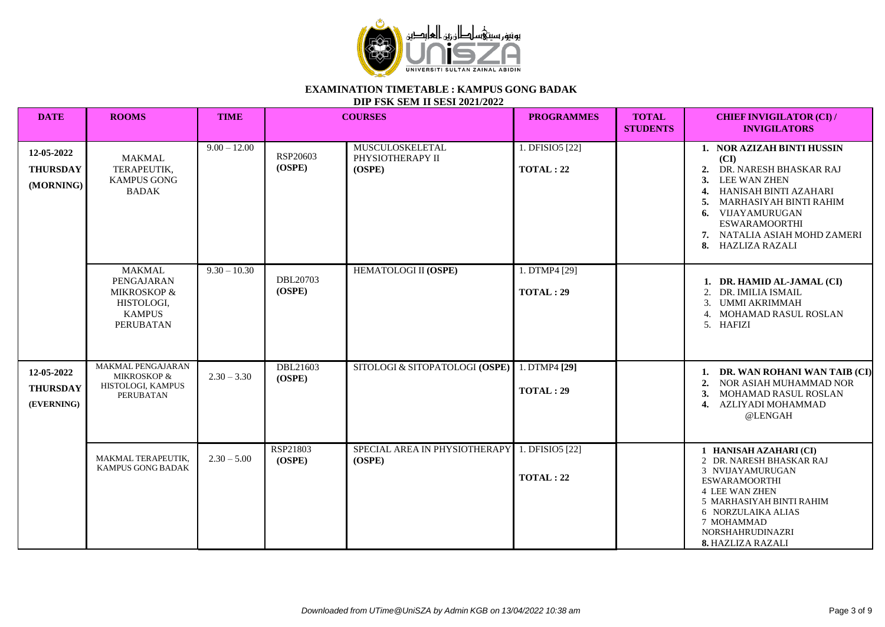

| <b>DATE</b>                                 | <b>ROOMS</b>                                                                           | <b>TIME</b>    |                    | <b>COURSES</b>                                          | <b>PROGRAMMES</b>                   | <b>TOTAL</b><br><b>STUDENTS</b> | <b>CHIEF INVIGILATOR (CI) /</b><br><b>INVIGILATORS</b>                                                                                                                                                                                    |
|---------------------------------------------|----------------------------------------------------------------------------------------|----------------|--------------------|---------------------------------------------------------|-------------------------------------|---------------------------------|-------------------------------------------------------------------------------------------------------------------------------------------------------------------------------------------------------------------------------------------|
| 12-05-2022<br><b>THURSDAY</b><br>(MORNING)  | <b>MAKMAL</b><br>TERAPEUTIK,<br><b>KAMPUS GONG</b><br><b>BADAK</b>                     | $9.00 - 12.00$ | RSP20603<br>(OSPE) | MUSCULOSKELETAL<br>PHYSIOTHERAPY II<br>(OSPE)           | 1. DFISIO5 [22]<br><b>TOTAL: 22</b> |                                 | 1. NOR AZIZAH BINTI HUSSIN<br>(CI)<br>DR. NARESH BHASKAR RAJ<br>2.<br>LEE WAN ZHEN<br>HANISAH BINTI AZAHARI<br>MARHASIYAH BINTI RAHIM<br>VIJAYAMURUGAN<br>6.<br><b>ESWARAMOORTHI</b><br>7. NATALIA ASIAH MOHD ZAMERI<br>8. HAZLIZA RAZALI |
|                                             | <b>MAKMAL</b><br>PENGAJARAN<br>MIKROSKOP &<br>HISTOLOGI,<br><b>KAMPUS</b><br>PERUBATAN | $9.30 - 10.30$ | DBL20703<br>(OSPE) | HEMATOLOGI II (OSPE)                                    | 1. DTMP4 [29]<br>TOTAL:29           |                                 | 1. DR. HAMID AL-JAMAL (CI)<br>2. DR. IMILIA ISMAIL<br>UMMI AKRIMMAH<br>3.<br>4. MOHAMAD RASUL ROSLAN<br>5. HAFIZI                                                                                                                         |
| 12-05-2022<br><b>THURSDAY</b><br>(EVERNING) | MAKMAL PENGAJARAN<br><b>MIKROSKOP &amp;</b><br>HISTOLOGI, KAMPUS<br><b>PERUBATAN</b>   | $2.30 - 3.30$  | DBL21603<br>(OSPE) | SITOLOGI & SITOPATOLOGI (OSPE)                          | 1. DTMP4 [29]<br>TOTAL: 29          |                                 | 1. DR. WAN ROHANI WAN TAIB (CI)<br>2. NOR ASIAH MUHAMMAD NOR<br>MOHAMAD RASUL ROSLAN<br>3.<br>AZLIYADI MOHAMMAD<br>4.<br>@LENGAH                                                                                                          |
|                                             | MAKMAL TERAPEUTIK.<br>KAMPUS GONG BADAK                                                | $2.30 - 5.00$  | RSP21803<br>(OSPE) | SPECIAL AREA IN PHYSIOTHERAPY 1. DFISIO5 [22]<br>(OSPE) | TOTAL: 22                           |                                 | 1 HANISAH AZAHARI (CI)<br>2 DR. NARESH BHASKAR RAJ<br>3 NVIJAYAMURUGAN<br><b>ESWARAMOORTHI</b><br><b>4 LEE WAN ZHEN</b><br>5 MARHASIYAH BINTI RAHIM<br>6 NORZULAIKA ALIAS<br>7 MOHAMMAD<br>NORSHAHRUDINAZRI<br>8. HAZLIZA RAZALI          |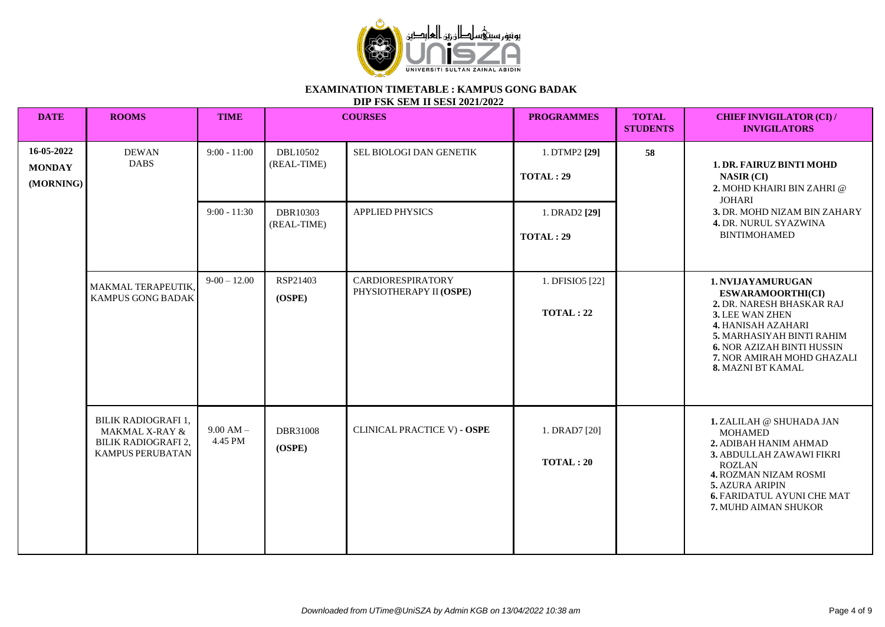

| <b>DATE</b>                              | <b>ROOMS</b>                                                                                       | <b>TIME</b>            |                         | <b>COURSES</b>                                                                      | <b>PROGRAMMES</b>                   | <b>TOTAL</b><br><b>STUDENTS</b> | <b>CHIEF INVIGILATOR (CI) /</b><br><b>INVIGILATORS</b>                                                                                                                                                                                          |
|------------------------------------------|----------------------------------------------------------------------------------------------------|------------------------|-------------------------|-------------------------------------------------------------------------------------|-------------------------------------|---------------------------------|-------------------------------------------------------------------------------------------------------------------------------------------------------------------------------------------------------------------------------------------------|
| 16-05-2022<br><b>MONDAY</b><br>(MORNING) | <b>DEWAN</b><br><b>DABS</b>                                                                        | $9:00 - 11:00$         | DBL10502<br>(REAL-TIME) | SEL BIOLOGI DAN GENETIK                                                             | 1. DTMP2 [29]<br><b>TOTAL: 29</b>   | 58                              | <b>1. DR. FAIRUZ BINTI MOHD</b><br><b>NASIR (CI)</b><br>2. MOHD KHAIRI BIN ZAHRI @<br><b>JOHARI</b>                                                                                                                                             |
|                                          | $9:00 - 11:30$<br>DBR10303<br>APPLIED PHYSICS<br>(REAL-TIME)<br><b>TOTAL: 29</b>                   | 1. DRAD2 [29]          |                         | 3. DR. MOHD NIZAM BIN ZAHARY<br><b>4. DR. NURUL SYAZWINA</b><br><b>BINTIMOHAMED</b> |                                     |                                 |                                                                                                                                                                                                                                                 |
|                                          | MAKMAL TERAPEUTIK,<br>KAMPUS GONG BADAK                                                            | $9-00-12.00$           | RSP21403<br>(OSPE)      | <b>CARDIORESPIRATORY</b><br>PHYSIOTHERAPY II (OSPE)                                 | 1. DFISIO5 [22]<br><b>TOTAL: 22</b> |                                 | <b>1. NVIJAYAMURUGAN</b><br><b>ESWARAMOORTHI(CI)</b><br>2. DR. NARESH BHASKAR RAJ<br>3. LEE WAN ZHEN<br>4. HANISAH AZAHARI<br>5. MARHASIYAH BINTI RAHIM<br><b>6. NOR AZIZAH BINTI HUSSIN</b><br>7. NOR AMIRAH MOHD GHAZALI<br>8. MAZNI BT KAMAL |
|                                          | BILIK RADIOGRAFI 1,<br><b>MAKMAL X-RAY &amp;</b><br><b>BILIK RADIOGRAFI 2,</b><br>KAMPUS PERUBATAN | $9.00 AM -$<br>4.45 PM | DBR31008<br>(OSPE)      | <b>CLINICAL PRACTICE V) - OSPE</b>                                                  | 1. DRAD7 [20]<br><b>TOTAL: 20</b>   |                                 | 1. ZALILAH @ SHUHADA JAN<br><b>MOHAMED</b><br>2. ADIBAH HANIM AHMAD<br>3. ABDULLAH ZAWAWI FIKRI<br><b>ROZLAN</b><br>4. ROZMAN NIZAM ROSMI<br><b>5. AZURA ARIPIN</b><br><b>6. FARIDATUL AYUNI CHE MAT</b><br>7. MUHD AIMAN SHUKOR                |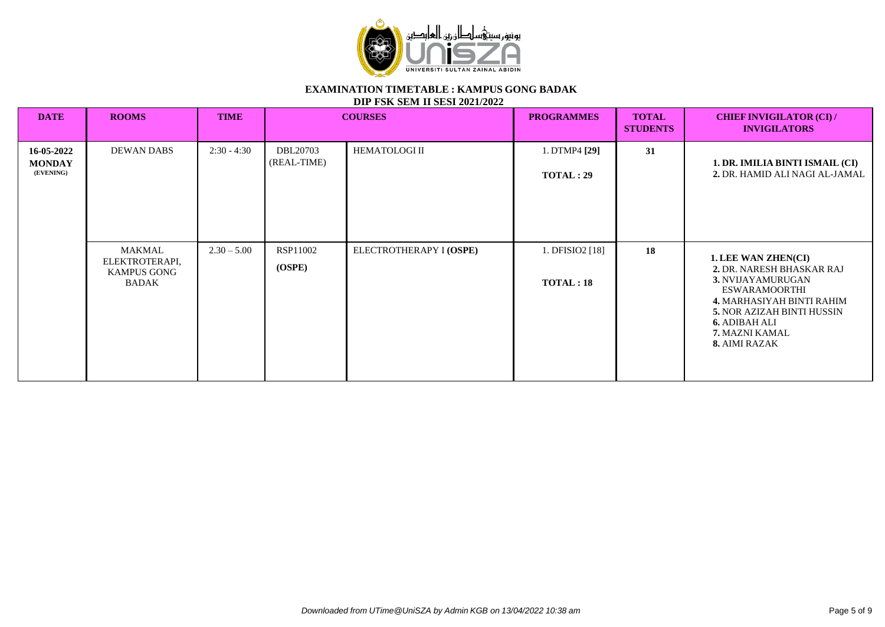

| <b>DATE</b>                              | <b>ROOMS</b>                                                   | <b>TIME</b>   |                         | <b>PROGRAMMES</b><br><b>COURSES</b> |                                   | <b>TOTAL</b><br><b>STUDENTS</b> | <b>CHIEF INVIGILATOR (CI) /</b><br><b>INVIGILATORS</b>                                                                                                                                                                     |
|------------------------------------------|----------------------------------------------------------------|---------------|-------------------------|-------------------------------------|-----------------------------------|---------------------------------|----------------------------------------------------------------------------------------------------------------------------------------------------------------------------------------------------------------------------|
| 16-05-2022<br><b>MONDAY</b><br>(EVENING) | <b>DEWAN DABS</b>                                              | $2:30 - 4:30$ | DBL20703<br>(REAL-TIME) | <b>HEMATOLOGI II</b>                | 1. DTMP4 [29]<br><b>TOTAL: 29</b> | 31                              | 1. DR. IMILIA BINTI ISMAIL (CI)<br>2. DR. HAMID ALI NAGI AL-JAMAL                                                                                                                                                          |
|                                          | MAKMAL<br>ELEKTROTERAPI,<br><b>KAMPUS GONG</b><br><b>BADAK</b> | $2.30 - 5.00$ | RSP11002<br>(OSPE)      | ELECTROTHERAPY I (OSPE)             | 1. DFISIO2 [18]<br>TOTAL:18       | 18                              | 1. LEE WAN ZHEN(CI)<br>2. DR. NARESH BHASKAR RAJ<br>3. NVIJAYAMURUGAN<br><b>ESWARAMOORTHI</b><br>4. MARHASIYAH BINTI RAHIM<br><b>5. NOR AZIZAH BINTI HUSSIN</b><br><b>6. ADIBAH ALI</b><br>7. MAZNI KAMAL<br>8. AIMI RAZAK |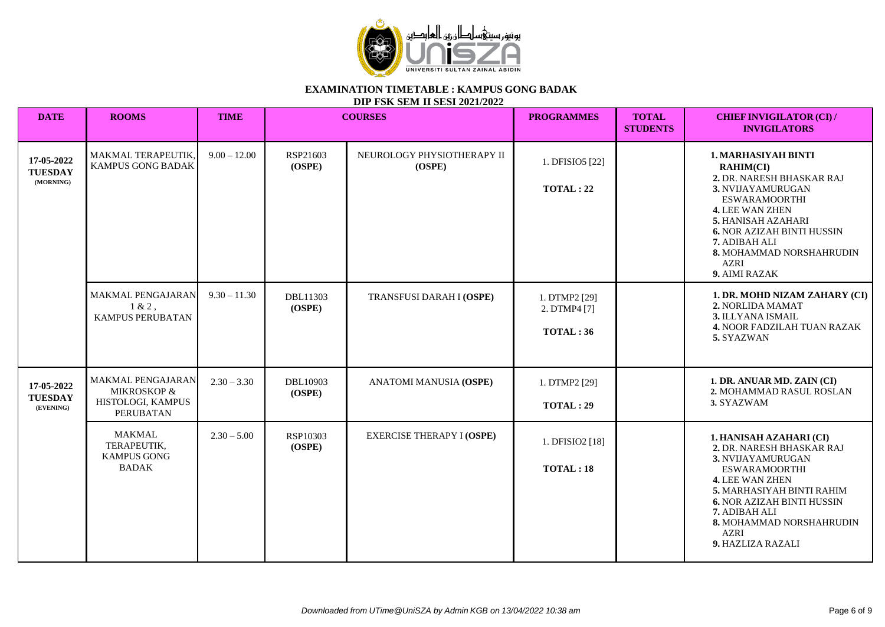

| <b>DATE</b>                               | <b>ROOMS</b>                                                                         | <b>TIME</b>    |                    | <b>COURSES</b>                       | <b>PROGRAMMES</b>                         | <b>TOTAL</b><br><b>STUDENTS</b> | <b>CHIEF INVIGILATOR (CI) /</b><br><b>INVIGILATORS</b>                                                                                                                                                                                                                              |
|-------------------------------------------|--------------------------------------------------------------------------------------|----------------|--------------------|--------------------------------------|-------------------------------------------|---------------------------------|-------------------------------------------------------------------------------------------------------------------------------------------------------------------------------------------------------------------------------------------------------------------------------------|
| 17-05-2022<br><b>TUESDAY</b><br>(MORNING) | MAKMAL TERAPEUTIK,<br>KAMPUS GONG BADAK                                              | $9.00 - 12.00$ | RSP21603<br>(OSPE) | NEUROLOGY PHYSIOTHERAPY II<br>(OSPE) | 1. DFISIO5 [22]<br><b>TOTAL: 22</b>       |                                 | <b>1. MARHASIYAH BINTI</b><br><b>RAHIM(CI)</b><br>2. DR. NARESH BHASKAR RAJ<br>3. NVIJAYAMURUGAN<br><b>ESWARAMOORTHI</b><br>4. LEE WAN ZHEN<br>5. HANISAH AZAHARI<br><b>6. NOR AZIZAH BINTI HUSSIN</b><br>7. ADIBAH ALI<br>8. MOHAMMAD NORSHAHRUDIN<br><b>AZRI</b><br>9. AIMI RAZAK |
|                                           | MAKMAL PENGAJARAN<br>$1 & 2$ ,<br>KAMPUS PERUBATAN                                   | $9.30 - 11.30$ | DBL11303<br>(OSPE) | TRANSFUSI DARAH I (OSPE)             | 1. DTMP2 [29]<br>2. DTMP4 [7]<br>TOTAL:36 |                                 | 1. DR. MOHD NIZAM ZAHARY (CI)<br>2. NORLIDA MAMAT<br>3. ILLYANA ISMAIL<br>4. NOOR FADZILAH TUAN RAZAK<br>5. SYAZWAN                                                                                                                                                                 |
| 17-05-2022<br><b>TUESDAY</b><br>(EVENING) | MAKMAL PENGAJARAN<br><b>MIKROSKOP &amp;</b><br>HISTOLOGI, KAMPUS<br><b>PERUBATAN</b> | $2.30 - 3.30$  | DBL10903<br>(OSPE) | <b>ANATOMI MANUSIA (OSPE)</b>        | 1. DTMP2 [29]<br><b>TOTAL: 29</b>         |                                 | 1. DR. ANUAR MD. ZAIN (CI)<br>2. MOHAMMAD RASUL ROSLAN<br>3. SYAZWAM                                                                                                                                                                                                                |
|                                           | <b>MAKMAL</b><br>TERAPEUTIK,<br><b>KAMPUS GONG</b><br><b>BADAK</b>                   | $2.30 - 5.00$  | RSP10303<br>(OSPE) | <b>EXERCISE THERAPY I (OSPE)</b>     | 1. DFISIO2 [18]<br>TOTAL:18               |                                 | 1. HANISAH AZAHARI (CI)<br>2. DR. NARESH BHASKAR RAJ<br>3. NVIJAYAMURUGAN<br><b>ESWARAMOORTHI</b><br>4. LEE WAN ZHEN<br>5. MARHASIYAH BINTI RAHIM<br><b>6. NOR AZIZAH BINTI HUSSIN</b><br>7. ADIBAH ALI<br>8. MOHAMMAD NORSHAHRUDIN<br><b>AZRI</b><br>9. HAZLIZA RAZALI             |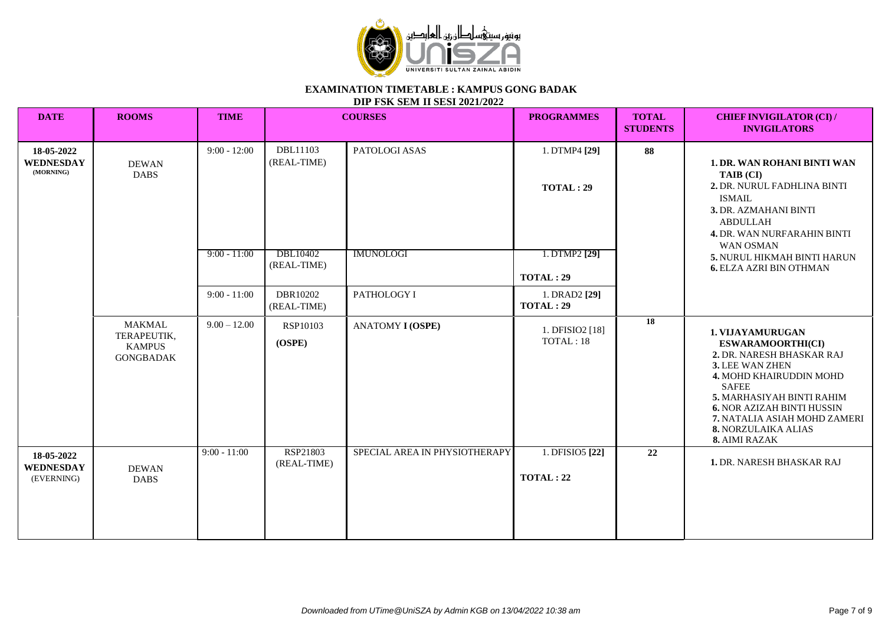

| <b>DATE</b>                                  | <b>ROOMS</b>                                                      | <b>TIME</b>    |                         | <b>COURSES</b>                | <b>PROGRAMMES</b>                   | <b>TOTAL</b><br><b>STUDENTS</b> | <b>CHIEF INVIGILATOR (CI) /</b><br><b>INVIGILATORS</b>                                                                                                                                                                                                                            |
|----------------------------------------------|-------------------------------------------------------------------|----------------|-------------------------|-------------------------------|-------------------------------------|---------------------------------|-----------------------------------------------------------------------------------------------------------------------------------------------------------------------------------------------------------------------------------------------------------------------------------|
| 18-05-2022<br><b>WEDNESDAY</b><br>(MORNING)  | <b>DEWAN</b><br><b>DABS</b>                                       | $9:00 - 12:00$ | DBL11103<br>(REAL-TIME) | PATOLOGI ASAS                 | 1. DTMP4 [29]<br><b>TOTAL: 29</b>   | 88                              | <b>1. DR. WAN ROHANI BINTI WAN</b><br>TAIB (CI)<br>2. DR. NURUL FADHLINA BINTI<br><b>ISMAIL</b><br>3. DR. AZMAHANI BINTI<br><b>ABDULLAH</b><br>4. DR. WAN NURFARAHIN BINTI<br>WAN OSMAN                                                                                           |
|                                              |                                                                   | $9:00 - 11:00$ | DBL10402<br>(REAL-TIME) | <b>IMUNOLOGI</b>              | 1. DTMP2 [29]<br>TOTAL: 29          |                                 | 5. NURUL HIKMAH BINTI HARUN<br><b>6. ELZA AZRI BIN OTHMAN</b>                                                                                                                                                                                                                     |
|                                              |                                                                   | $9:00 - 11:00$ | DBR10202<br>(REAL-TIME) | PATHOLOGY I                   | 1. DRAD2 [29]<br>TOTAL:29           |                                 |                                                                                                                                                                                                                                                                                   |
|                                              | <b>MAKMAL</b><br>TERAPEUTIK,<br><b>KAMPUS</b><br><b>GONGBADAK</b> | $9.00 - 12.00$ | RSP10103<br>(OSPE)      | <b>ANATOMY I (OSPE)</b>       | 1. DFISIO2 [18]<br>TOTAL: 18        | 18                              | 1. VIJAYAMURUGAN<br>ESWARAMOORTHI(CI)<br>2. DR. NARESH BHASKAR RAJ<br>3. LEE WAN ZHEN<br>4. MOHD KHAIRUDDIN MOHD<br><b>SAFEE</b><br>5. MARHASIYAH BINTI RAHIM<br><b>6. NOR AZIZAH BINTI HUSSIN</b><br>7. NATALIA ASIAH MOHD ZAMERI<br><b>8. NORZULAIKA ALIAS</b><br>8. AIMI RAZAK |
| 18-05-2022<br><b>WEDNESDAY</b><br>(EVERNING) | <b>DEWAN</b><br><b>DABS</b>                                       | $9:00 - 11:00$ | RSP21803<br>(REAL-TIME) | SPECIAL AREA IN PHYSIOTHERAPY | 1. DFISIO5 [22]<br><b>TOTAL: 22</b> | 22                              | <b>1. DR. NARESH BHASKAR RAJ</b>                                                                                                                                                                                                                                                  |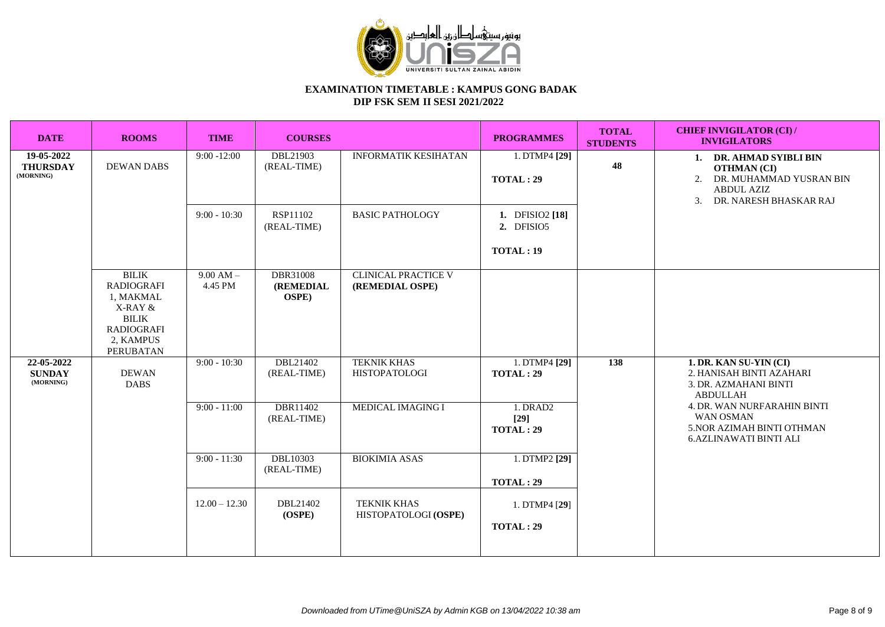

| <b>DATE</b>                                | <b>ROOMS</b>                                                                                                             | <b>TIME</b>            | <b>COURSES</b>                                       |                                               | <b>PROGRAMMES</b>                         | <b>TOTAL</b><br><b>STUDENTS</b> | <b>CHIEF INVIGILATOR (CI)/</b><br><b>INVIGILATORS</b>                                                                                             |
|--------------------------------------------|--------------------------------------------------------------------------------------------------------------------------|------------------------|------------------------------------------------------|-----------------------------------------------|-------------------------------------------|---------------------------------|---------------------------------------------------------------------------------------------------------------------------------------------------|
| 19-05-2022<br><b>THURSDAY</b><br>(MORNING) | <b>DEWAN DABS</b>                                                                                                        | $9:00 - 12:00$         | DBL21903<br>(REAL-TIME)                              | <b>INFORMATIK KESIHATAN</b>                   | 1. DTMP4 [29]<br><b>TOTAL: 29</b>         | 48                              | 1. DR. AHMAD SYIBLI BIN<br><b>OTHMAN (CI)</b><br>DR. MUHAMMAD YUSRAN BIN<br>2.<br><b>ABDUL AZIZ</b><br>DR. NARESH BHASKAR RAJ<br>$\mathfrak{Z}$ . |
|                                            |                                                                                                                          | $9:00 - 10:30$         | RSP11102<br>(REAL-TIME)                              | <b>BASIC PATHOLOGY</b>                        | 1. DFISIO2 [18]<br>2. DFISIO5<br>TOTAL:19 |                                 |                                                                                                                                                   |
|                                            | <b>BILIK</b><br><b>RADIOGRAFI</b><br>1, MAKMAL<br>X-RAY &<br><b>BILIK</b><br><b>RADIOGRAFI</b><br>2, KAMPUS<br>PERUBATAN | $9.00 AM -$<br>4.45 PM | <b>DBR31008</b><br><b>(REMEDIAL</b><br><b>OSPE</b> ) | <b>CLINICAL PRACTICE V</b><br>(REMEDIAL OSPE) |                                           |                                 |                                                                                                                                                   |
| 22-05-2022<br><b>SUNDAY</b><br>(MORNING)   | <b>DEWAN</b><br><b>DABS</b>                                                                                              | $9:00 - 10:30$         | DBL21402<br>(REAL-TIME)                              | <b>TEKNIK KHAS</b><br><b>HISTOPATOLOGI</b>    | 1. DTMP4 [29]<br><b>TOTAL: 29</b>         | 138                             | 1. DR. KAN SU-YIN (CI)<br>2. HANISAH BINTI AZAHARI<br>3. DR. AZMAHANI BINTI<br><b>ABDULLAH</b>                                                    |
|                                            |                                                                                                                          | $9:00 - 11:00$         | DBR11402<br>(REAL-TIME)                              | <b>MEDICAL IMAGING I</b>                      | 1. DRAD2<br>$[29]$<br><b>TOTAL: 29</b>    |                                 | 4. DR. WAN NURFARAHIN BINTI<br><b>WAN OSMAN</b><br>5. NOR AZIMAH BINTI OTHMAN<br><b>6.AZLINAWATI BINTI ALI</b>                                    |
|                                            |                                                                                                                          | $9:00 - 11:30$         | <b>DBL10303</b><br>(REAL-TIME)                       | <b>BIOKIMIA ASAS</b>                          | 1. DTMP2 [29]<br><b>TOTAL: 29</b>         |                                 |                                                                                                                                                   |
|                                            |                                                                                                                          | $12.00 - 12.30$        | DBL21402<br>(OSPE)                                   | <b>TEKNIK KHAS</b><br>HISTOPATOLOGI (OSPE)    | 1. DTMP4 [29]<br>TOTAL: 29                |                                 |                                                                                                                                                   |
|                                            |                                                                                                                          |                        |                                                      |                                               |                                           |                                 |                                                                                                                                                   |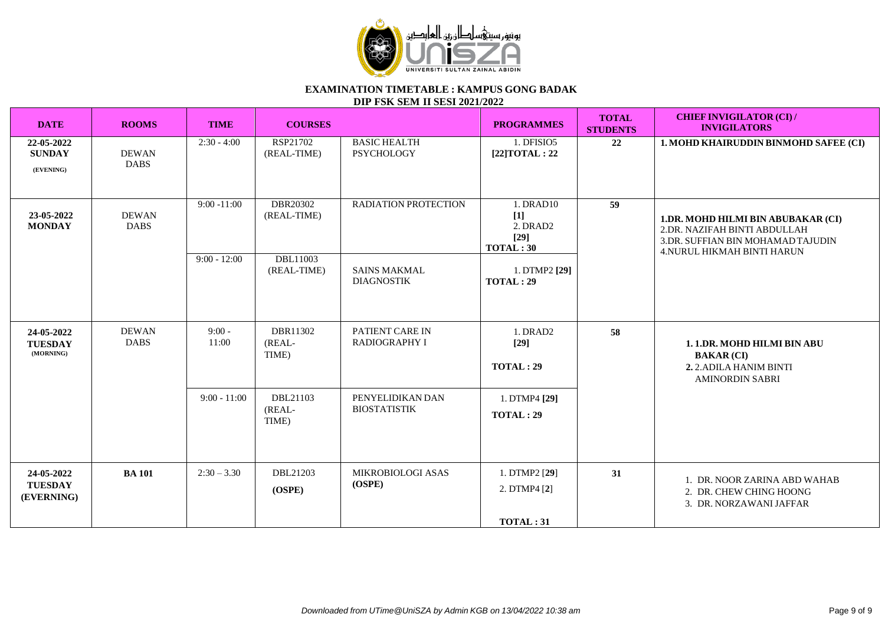

| <b>DATE</b>                                | <b>ROOMS</b>                | <b>TIME</b>                         | <b>COURSES</b>                                             |                                                                                    | <b>PROGRAMMES</b>                                                                 | <b>TOTAL</b><br><b>STUDENTS</b> | <b>CHIEF INVIGILATOR (CI)/</b><br><b>INVIGILATORS</b>                                                                                        |
|--------------------------------------------|-----------------------------|-------------------------------------|------------------------------------------------------------|------------------------------------------------------------------------------------|-----------------------------------------------------------------------------------|---------------------------------|----------------------------------------------------------------------------------------------------------------------------------------------|
| 22-05-2022<br><b>SUNDAY</b><br>(EVENING)   | <b>DEWAN</b><br><b>DABS</b> | $2:30 - 4:00$                       | RSP21702<br>(REAL-TIME)                                    | <b>BASIC HEALTH</b><br>PSYCHOLOGY                                                  | 1. DFISIO5<br>[22] TOTAL: 22                                                      | 22                              | 1. MOHD KHAIRUDDIN BINMOHD SAFEE (CI)                                                                                                        |
| 23-05-2022<br><b>MONDAY</b>                | <b>DEWAN</b><br><b>DABS</b> | $9:00 - 11:00$<br>$9:00 - 12:00$    | DBR20302<br>(REAL-TIME)<br><b>DBL11003</b><br>(REAL-TIME)  | RADIATION PROTECTION<br><b>SAINS MAKMAL</b><br><b>DIAGNOSTIK</b>                   | 1. DRAD10<br>$[1]$<br>2. DRAD2<br>$[29]$<br>TOTAL:30<br>1. DTMP2 [29]<br>TOTAL:29 | $\overline{59}$                 | 1.DR. MOHD HILMI BIN ABUBAKAR (CI)<br>2.DR. NAZIFAH BINTI ABDULLAH<br>3.DR. SUFFIAN BIN MOHAMAD TAJUDIN<br><b>4.NURUL HIKMAH BINTI HARUN</b> |
| 24-05-2022<br><b>TUESDAY</b><br>(MORNING)  | <b>DEWAN</b><br><b>DABS</b> | $9:00 -$<br>11:00<br>$9:00 - 11:00$ | DBR11302<br>(REAL-<br>TIME)<br>DBL21103<br>(REAL-<br>TIME) | PATIENT CARE IN<br><b>RADIOGRAPHY I</b><br>PENYELIDIKAN DAN<br><b>BIOSTATISTIK</b> | 1. DRAD2<br>$[29]$<br><b>TOTAL: 29</b><br>1. DTMP4 [29]<br><b>TOTAL: 29</b>       | 58                              | 1. 1.DR. MOHD HILMI BIN ABU<br><b>BAKAR (CI)</b><br>2. 2. ADILA HANIM BINTI<br><b>AMINORDIN SABRI</b>                                        |
| 24-05-2022<br><b>TUESDAY</b><br>(EVERNING) | <b>BA</b> 101               | $2:30 - 3.30$                       | DBL21203<br>(OSPE)                                         | MIKROBIOLOGI ASAS<br>(OSPE)                                                        | 1. DTMP2 [29]<br>2. DTMP4 [2]<br>TOTAL:31                                         | 31                              | 1. DR. NOOR ZARINA ABD WAHAB<br>2. DR. CHEW CHING HOONG<br>3. DR. NORZAWANI JAFFAR                                                           |